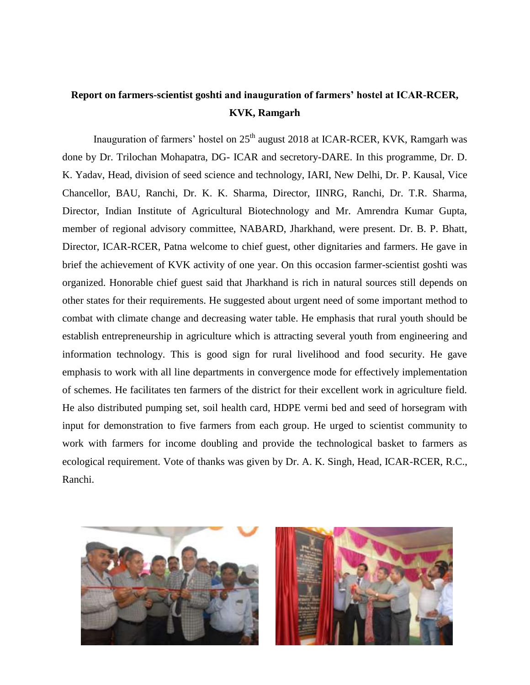## **Report on farmers-scientist goshti and inauguration of farmers' hostel at ICAR-RCER, KVK, Ramgarh**

Inauguration of farmers' hostel on  $25<sup>th</sup>$  august 2018 at ICAR-RCER, KVK, Ramgarh was done by Dr. Trilochan Mohapatra, DG- ICAR and secretory-DARE. In this programme, Dr. D. K. Yadav, Head, division of seed science and technology, IARI, New Delhi, Dr. P. Kausal, Vice Chancellor, BAU, Ranchi, Dr. K. K. Sharma, Director, IINRG, Ranchi, Dr. T.R. Sharma, Director, Indian Institute of Agricultural Biotechnology and Mr. Amrendra Kumar Gupta, member of regional advisory committee, NABARD, Jharkhand, were present. Dr. B. P. Bhatt, Director, ICAR-RCER, Patna welcome to chief guest, other dignitaries and farmers. He gave in brief the achievement of KVK activity of one year. On this occasion farmer-scientist goshti was organized. Honorable chief guest said that Jharkhand is rich in natural sources still depends on other states for their requirements. He suggested about urgent need of some important method to combat with climate change and decreasing water table. He emphasis that rural youth should be establish entrepreneurship in agriculture which is attracting several youth from engineering and information technology. This is good sign for rural livelihood and food security. He gave emphasis to work with all line departments in convergence mode for effectively implementation of schemes. He facilitates ten farmers of the district for their excellent work in agriculture field. He also distributed pumping set, soil health card, HDPE vermi bed and seed of horsegram with input for demonstration to five farmers from each group. He urged to scientist community to work with farmers for income doubling and provide the technological basket to farmers as ecological requirement. Vote of thanks was given by Dr. A. K. Singh, Head, ICAR-RCER, R.C., Ranchi.